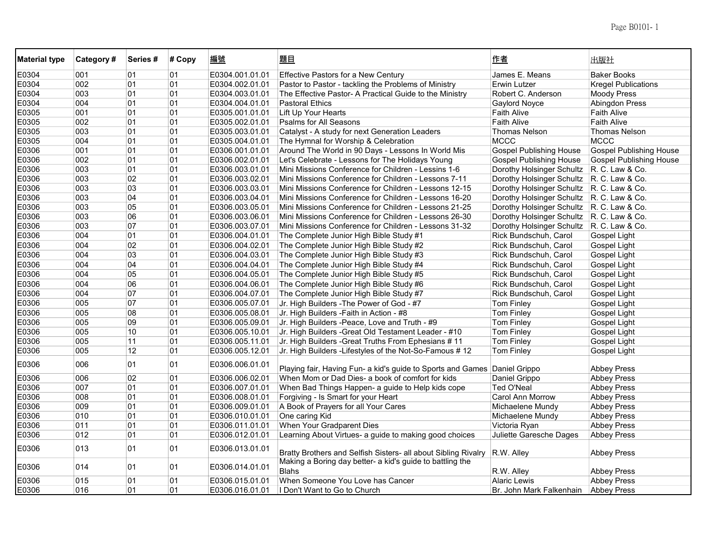| <b>Material type</b> | Category# | Series# | # Copy | 編號              | 題目                                                                        | 作者                             | 出版社                            |
|----------------------|-----------|---------|--------|-----------------|---------------------------------------------------------------------------|--------------------------------|--------------------------------|
| E0304                | 001       | 01      | 01     | E0304.001.01.01 | <b>Effective Pastors for a New Century</b>                                | James E. Means                 | <b>Baker Books</b>             |
| E0304                | 002       | 01      | 01     | E0304.002.01.01 | Pastor to Pastor - tackling the Problems of Ministry                      | Erwin Lutzer                   | <b>Kregel Publications</b>     |
| E0304                | 003       | 01      | 01     | E0304.003.01.01 | The Effective Pastor- A Practical Guide to the Ministry                   | Robert C. Anderson             | <b>Moody Press</b>             |
| E0304                | 004       | 01      | 01     | E0304.004.01.01 | <b>Pastoral Ethics</b>                                                    | <b>Gaylord Noyce</b>           | <b>Abingdon Press</b>          |
| E0305                | 001       | 01      | 01     | E0305.001.01.01 | Lift Up Your Hearts                                                       | <b>Faith Alive</b>             | <b>Faith Alive</b>             |
| E0305                | 002       | 01      | 01     | E0305.002.01.01 | <b>Psalms for All Seasons</b>                                             | <b>Faith Alive</b>             | <b>Faith Alive</b>             |
| E0305                | 003       | 01      | 01     | E0305.003.01.01 | Catalyst - A study for next Generation Leaders                            | <b>Thomas Nelson</b>           | Thomas Nelson                  |
| E0305                | 004       | 01      | 01     | E0305.004.01.01 | The Hymnal for Worship & Celebration                                      | <b>MCCC</b>                    | <b>MCCC</b>                    |
| E0306                | 001       | 01      | 01     | E0306.001.01.01 | Around The World in 90 Days - Lessons In World Mis                        | <b>Gospel Publishing House</b> | <b>Gospel Publishing House</b> |
| E0306                | 002       | 01      | 01     | E0306.002.01.01 | Let's Celebrate - Lessons for The Holidays Young                          | <b>Gospel Publishing House</b> | <b>Gospel Publishing House</b> |
| E0306                | 003       | 01      | 01     | E0306.003.01.01 | Mini Missions Conference for Children - Lessins 1-6                       | Dorothy Holsinger Schultz      | R. C. Law & Co.                |
| E0306                | 003       | 02      | 01     | E0306.003.02.01 | Mini Missions Conference for Children - Lessons 7-11                      | Dorothy Holsinger Schultz      | R. C. Law & Co.                |
| E0306                | 003       | 03      | 01     | E0306.003.03.01 | Mini Missions Conference for Children - Lessons 12-15                     | Dorothy Holsinger Schultz      | R. C. Law & Co.                |
| E0306                | 003       | 04      | 01     | E0306.003.04.01 | Mini Missions Conference for Children - Lessons 16-20                     | Dorothy Holsinger Schultz      | R. C. Law & Co.                |
| E0306                | 003       | 05      | 01     | E0306.003.05.01 | Mini Missions Conference for Children - Lessons 21-25                     | Dorothy Holsinger Schultz      | R. C. Law & Co.                |
| E0306                | 003       | 06      | 01     | E0306.003.06.01 | Mini Missions Conference for Children - Lessons 26-30                     | Dorothy Holsinger Schultz      | R. C. Law & Co.                |
| E0306                | 003       | 07      | 01     | E0306.003.07.01 | Mini Missions Conference for Children - Lessons 31-32                     | Dorothy Holsinger Schultz      | R. C. Law & Co.                |
| E0306                | 004       | 01      | 01     | E0306.004.01.01 | The Complete Junior High Bible Study #1                                   | Rick Bundschuh, Carol          | Gospel Light                   |
| E0306                | 004       | 02      | 01     | E0306.004.02.01 | The Complete Junior High Bible Study #2                                   | Rick Bundschuh, Carol          | Gospel Light                   |
| E0306                | 004       | 03      | 01     | E0306.004.03.01 | The Complete Junior High Bible Study #3                                   | Rick Bundschuh, Carol          | Gospel Light                   |
| E0306                | 004       | 04      | 01     | E0306.004.04.01 | The Complete Junior High Bible Study #4                                   | Rick Bundschuh, Carol          | Gospel Light                   |
| E0306                | 004       | 05      | 01     | E0306.004.05.01 | The Complete Junior High Bible Study #5                                   | Rick Bundschuh, Carol          | Gospel Light                   |
| E0306                | 004       | 06      | 01     | E0306.004.06.01 | The Complete Junior High Bible Study #6                                   | Rick Bundschuh, Carol          | Gospel Light                   |
| E0306                | 004       | 07      | 01     | E0306.004.07.01 | The Complete Junior High Bible Study #7                                   | Rick Bundschuh, Carol          | Gospel Light                   |
| E0306                | 005       | 07      | 01     | E0306.005.07.01 | Jr. High Builders - The Power of God - #7                                 | Tom Finley                     | Gospel Light                   |
| E0306                | 005       | 08      | 01     | E0306.005.08.01 | Jr. High Builders - Faith in Action - #8                                  | Tom Finley                     | Gospel Light                   |
| E0306                | 005       | 09      | 01     | E0306.005.09.01 | Jr. High Builders -Peace, Love and Truth - #9                             | <b>Tom Finley</b>              | Gospel Light                   |
| E0306                | 005       | 10      | 01     | E0306.005.10.01 | Jr. High Builders - Great Old Testament Leader - #10                      | <b>Tom Finley</b>              | Gospel Light                   |
| E0306                | 005       | 11      | 01     | E0306.005.11.01 | Jr. High Builders - Great Truths From Ephesians # 11                      | <b>Tom Finley</b>              | Gospel Light                   |
| E0306                | 005       | 12      | 01     | E0306.005.12.01 | Jr. High Builders - Lifestyles of the Not-So-Famous #12                   | Tom Finley                     | Gospel Light                   |
| E0306                | 006       | 01      | 01     | E0306.006.01.01 | Playing fair, Having Fun- a kid's guide to Sports and Games Daniel Grippo |                                | <b>Abbey Press</b>             |
| E0306                | 006       | 02      | 01     | E0306.006.02.01 | When Mom or Dad Dies- a book of comfort for kids                          | Daniel Grippo                  | <b>Abbey Press</b>             |
| E0306                | 007       | 01      | 01     | E0306.007.01.01 | When Bad Things Happen- a guide to Help kids cope                         | Ted O'Neal                     | <b>Abbey Press</b>             |
| E0306                | 008       | 01      | 01     | E0306.008.01.01 | Forgiving - Is Smart for your Heart                                       | Carol Ann Morrow               | <b>Abbey Press</b>             |
| E0306                | 009       | 01      | 01     | E0306.009.01.01 | A Book of Prayers for all Your Cares                                      | Michaelene Mundy               | <b>Abbey Press</b>             |
| E0306                | 010       | 01      | 01     | E0306.010.01.01 | One caring Kid                                                            | Michaelene Mundy               | <b>Abbey Press</b>             |
| E0306                | 011       | 01      | 01     | E0306.011.01.01 | When Your Gradparent Dies                                                 | Victoria Ryan                  | <b>Abbey Press</b>             |
| E0306                | 012       | 01      | 01     | E0306.012.01.01 | Learning About Virtues- a guide to making good choices                    | Juliette Garesche Dages        | <b>Abbey Press</b>             |
| E0306                | 013       | 01      | 01     | E0306.013.01.01 | Bratty Brothers and Selfish Sisters- all about Sibling Rivalry            | R.W. Alley                     | <b>Abbey Press</b>             |
| E0306                | 014       | 01      | 01     | E0306.014.01.01 | Making a Boring day better- a kid's guide to battling the<br><b>Blahs</b> | R.W. Alley                     | <b>Abbey Press</b>             |
| E0306                | 015       | 01      | 01     | E0306.015.01.01 | When Someone You Love has Cancer                                          | <b>Alaric Lewis</b>            | <b>Abbey Press</b>             |
| E0306                | 016       | 01      | 01     | E0306.016.01.01 | I Don't Want to Go to Church                                              | Br. John Mark Falkenhain       | <b>Abbey Press</b>             |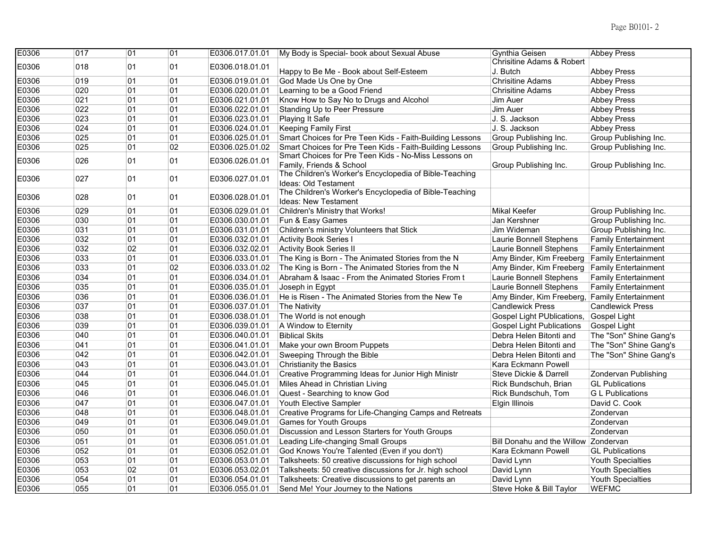| E0306 | 017 | 01 | 01 | E0306.017.01.01 | My Body is Special- book about Sexual Abuse                                           | Gynthia Geisen                       | <b>Abbey Press</b>          |
|-------|-----|----|----|-----------------|---------------------------------------------------------------------------------------|--------------------------------------|-----------------------------|
| E0306 | 018 | 01 | 01 | E0306.018.01.01 |                                                                                       | <b>Chrisitine Adams &amp; Robert</b> |                             |
|       |     |    |    |                 | Happy to Be Me - Book about Self-Esteem                                               | J. Butch                             | <b>Abbey Press</b>          |
| E0306 | 019 | 01 | 01 | E0306.019.01.01 | God Made Us One by One                                                                | <b>Chrisitine Adams</b>              | <b>Abbey Press</b>          |
| E0306 | 020 | 01 | 01 | E0306.020.01.01 | Learning to be a Good Friend                                                          | <b>Chrisitine Adams</b>              | <b>Abbey Press</b>          |
| E0306 | 021 | 01 | 01 | E0306.021.01.01 | Know How to Say No to Drugs and Alcohol                                               | Jim Auer                             | <b>Abbey Press</b>          |
| E0306 | 022 | 01 | 01 | E0306.022.01.01 | Standing Up to Peer Pressure                                                          | Jim Auer                             | <b>Abbey Press</b>          |
| E0306 | 023 | 01 | 01 | E0306.023.01.01 | Playing It Safe                                                                       | J. S. Jackson                        | <b>Abbey Press</b>          |
| E0306 | 024 | 01 | 01 | E0306.024.01.01 | <b>Keeping Family First</b>                                                           | J. S. Jackson                        | <b>Abbey Press</b>          |
| E0306 | 025 | 01 | 01 | E0306.025.01.01 | Smart Choices for Pre Teen Kids - Faith-Building Lessons                              | Group Publishing Inc.                | Group Publishing Inc.       |
| E0306 | 025 | 01 | 02 | E0306.025.01.02 | Smart Choices for Pre Teen Kids - Faith-Building Lessons                              | Group Publishing Inc.                | Group Publishing Inc.       |
| E0306 | 026 | 01 | 01 | E0306.026.01.01 | Smart Choices for Pre Teen Kids - No-Miss Lessons on<br>Family, Friends & School      | Group Publishing Inc.                | Group Publishing Inc.       |
| E0306 | 027 | 01 | 01 | E0306.027.01.01 | The Children's Worker's Encyclopedia of Bible-Teaching<br>Ideas: Old Testament        |                                      |                             |
| E0306 | 028 | 01 | 01 | E0306.028.01.01 | The Children's Worker's Encyclopedia of Bible-Teaching<br><b>Ideas: New Testament</b> |                                      |                             |
| E0306 | 029 | 01 | 01 | E0306.029.01.01 | Children's Ministry that Works!                                                       | <b>Mikal Keefer</b>                  | Group Publishing Inc.       |
| E0306 | 030 | 01 | 01 | E0306.030.01.01 | Fun & Easy Games                                                                      | Jan Kershner                         | Group Publishing Inc.       |
| E0306 | 031 | 01 | 01 | E0306.031.01.01 | Children's ministry Volunteers that Stick                                             | Jim Wideman                          | Group Publishing Inc.       |
| E0306 | 032 | 01 | 01 | E0306.032.01.01 | <b>Activity Book Series I</b>                                                         | Laurie Bonnell Stephens              | <b>Family Entertainment</b> |
| E0306 | 032 | 02 | 01 | E0306.032.02.01 | <b>Activity Book Series II</b>                                                        | Laurie Bonnell Stephens              | <b>Family Entertainment</b> |
| E0306 | 033 | 01 | 01 | E0306.033.01.01 | The King is Born - The Animated Stories from the N                                    | Amy Binder, Kim Freeberg             | <b>Family Entertainment</b> |
| E0306 | 033 | 01 | 02 | E0306.033.01.02 | The King is Born - The Animated Stories from the N                                    | Amy Binder, Kim Freeberg             | <b>Family Entertainment</b> |
| E0306 | 034 | 01 | 01 | E0306.034.01.01 | Abraham & Isaac - From the Animated Stories From t                                    | Laurie Bonnell Stephens              | <b>Family Entertainment</b> |
| E0306 | 035 | 01 | 01 | E0306.035.01.01 | Joseph in Egypt                                                                       | Laurie Bonnell Stephens              | <b>Family Entertainment</b> |
| E0306 | 036 | 01 | 01 | E0306.036.01.01 | He is Risen - The Animated Stories from the New Te                                    | Amy Binder, Kim Freeberg,            | <b>Family Entertainment</b> |
| E0306 | 037 | 01 | 01 | E0306.037.01.01 | <b>The Nativity</b>                                                                   | <b>Candlewick Press</b>              | <b>Candlewick Press</b>     |
| E0306 | 038 | 01 | 01 | E0306.038.01.01 | The World is not enough                                                               | Gospel Light PUblications,           | Gospel Light                |
| E0306 | 039 | 01 | 01 | E0306.039.01.01 | A Window to Eternity                                                                  | <b>Gospel Light Publications</b>     | Gospel Light                |
| E0306 | 040 | 01 | 01 | E0306.040.01.01 | <b>Biblical Skits</b>                                                                 | Debra Helen Bitonti and              | The "Son" Shine Gang's      |
| E0306 | 041 | 01 | 01 | E0306.041.01.01 | Make your own Broom Puppets                                                           | Debra Helen Bitonti and              | The "Son" Shine Gang's      |
| E0306 | 042 | 01 | 01 | E0306.042.01.01 | Sweeping Through the Bible                                                            | Debra Helen Bitonti and              | The "Son" Shine Gang's      |
| E0306 | 043 | 01 | 01 | E0306.043.01.01 | <b>Christianity the Basics</b>                                                        | Kara Eckmann Powell                  |                             |
| E0306 | 044 | 01 | 01 | E0306.044.01.01 | Creative Programming Ideas for Junior High Ministr                                    | Steve Dickie & Darrell               | Zondervan Publishing        |
| E0306 | 045 | 01 | 01 | E0306.045.01.01 | Miles Ahead in Christian Living                                                       | Rick Bundschuh, Brian                | <b>GL Publications</b>      |
| E0306 | 046 | 01 | 01 | E0306.046.01.01 | Quest - Searching to know God                                                         | Rick Bundschuh, Tom                  | <b>G</b> L Publications     |
| E0306 | 047 | 01 | 01 | E0306.047.01.01 | <b>Youth Elective Sampler</b>                                                         | Elgin Illinois                       | David C. Cook               |
| E0306 | 048 | 01 | 01 | E0306.048.01.01 | Creative Programs for Life-Changing Camps and Retreats                                |                                      | Zondervan                   |
| E0306 | 049 | 01 | 01 | E0306.049.01.01 | <b>Games for Youth Groups</b>                                                         |                                      | Zondervan                   |
| E0306 | 050 | 01 | 01 | E0306.050.01.01 | Discussion and Lesson Starters for Youth Groups                                       |                                      | Zondervan                   |
| E0306 | 051 | 01 | 01 | E0306.051.01.01 | Leading Life-changing Small Groups                                                    | Bill Donahu and the Willow           | Zondervan                   |
| E0306 | 052 | 01 | 01 | E0306.052.01.01 | God Knows You're Talented (Even if you don't)                                         | Kara Eckmann Powell                  | <b>GL Publications</b>      |
| E0306 | 053 | 01 | 01 | E0306.053.01.01 | Talksheets: 50 creative discussions for high school                                   | David Lynn                           | Youth Specialties           |
| E0306 | 053 | 02 | 01 | E0306.053.02.01 | Talksheets: 50 creative discussions for Jr. high school                               | David Lynn                           | Youth Specialties           |
| E0306 | 054 | 01 | 01 | E0306.054.01.01 | Talksheets: Creative discussions to get parents an                                    | David Lynn                           | Youth Specialties           |
| E0306 | 055 | 01 | 01 | E0306.055.01.01 | Send Me! Your Journey to the Nations                                                  | Steve Hoke & Bill Taylor             | <b>WEFMC</b>                |
|       |     |    |    |                 |                                                                                       |                                      |                             |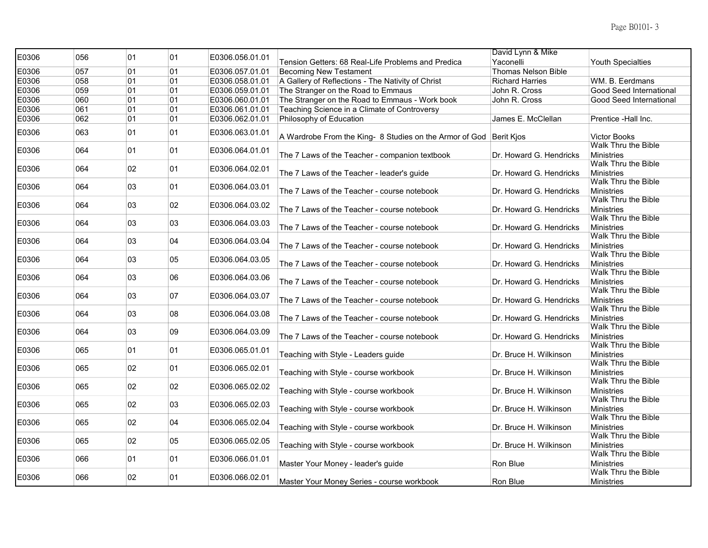| E0306 | 056 | 01 | 01 | E0306.056.01.01 |                                                                    | David Lynn & Mike          |                                          |
|-------|-----|----|----|-----------------|--------------------------------------------------------------------|----------------------------|------------------------------------------|
|       |     |    |    |                 | Tension Getters: 68 Real-Life Problems and Predica                 | Yaconelli                  | Youth Specialties                        |
| E0306 | 057 | 01 | 01 | E0306.057.01.01 | <b>Becoming New Testament</b>                                      | <b>Thomas Nelson Bible</b> |                                          |
| E0306 | 058 | 01 | 01 | E0306.058.01.01 | A Gallery of Reflections - The Nativity of Christ                  | <b>Richard Harries</b>     | WM. B. Eerdmans                          |
| E0306 | 059 | 01 | 01 | E0306.059.01.01 | The Stranger on the Road to Emmaus                                 | John R. Cross              | Good Seed International                  |
| E0306 | 060 | 01 | 01 | E0306.060.01.01 | The Stranger on the Road to Emmaus - Work book                     | John R. Cross              | Good Seed International                  |
| E0306 | 061 | 01 | 01 | E0306.061.01.01 | Teaching Science in a Climate of Controversy                       |                            |                                          |
| E0306 | 062 | 01 | 01 | E0306.062.01.01 | Philosophy of Education                                            | James E. McClellan         | Prentice -Hall Inc.                      |
| E0306 | 063 | 01 | 01 | E0306.063.01.01 | A Wardrobe From the King- 8 Studies on the Armor of God Berit Kjos |                            | <b>Victor Books</b>                      |
| E0306 | 064 | 01 | 01 | E0306.064.01.01 | The 7 Laws of the Teacher - companion textbook                     | Dr. Howard G. Hendricks    | Walk Thru the Bible<br><b>Ministries</b> |
| E0306 | 064 | 02 | 01 | E0306.064.02.01 | The 7 Laws of the Teacher - leader's guide                         | Dr. Howard G. Hendricks    | Walk Thru the Bible<br><b>Ministries</b> |
|       |     |    |    |                 |                                                                    |                            | Walk Thru the Bible                      |
| E0306 | 064 | 03 | 01 | E0306.064.03.01 | The 7 Laws of the Teacher - course notebook                        | Dr. Howard G. Hendricks    | <b>Ministries</b>                        |
| E0306 | 064 | 03 | 02 | E0306.064.03.02 |                                                                    |                            | Walk Thru the Bible                      |
|       |     |    |    |                 | The 7 Laws of the Teacher - course notebook                        | Dr. Howard G. Hendricks    | <b>Ministries</b>                        |
| E0306 | 064 | 03 | 03 | E0306.064.03.03 |                                                                    |                            | Walk Thru the Bible                      |
|       |     |    |    |                 | The 7 Laws of the Teacher - course notebook                        | Dr. Howard G. Hendricks    | <b>Ministries</b>                        |
| E0306 | 064 | 03 | 04 | E0306.064.03.04 | The 7 Laws of the Teacher - course notebook                        | Dr. Howard G. Hendricks    | Walk Thru the Bible<br><b>Ministries</b> |
| E0306 | 064 | 03 | 05 | E0306.064.03.05 | The 7 Laws of the Teacher - course notebook                        | Dr. Howard G. Hendricks    | Walk Thru the Bible<br><b>Ministries</b> |
|       |     |    |    |                 |                                                                    |                            | Walk Thru the Bible                      |
| E0306 | 064 | 03 | 06 | E0306.064.03.06 | The 7 Laws of the Teacher - course notebook                        | Dr. Howard G. Hendricks    | <b>Ministries</b>                        |
| E0306 | 064 | 03 | 07 | E0306.064.03.07 |                                                                    |                            | Walk Thru the Bible                      |
|       |     |    |    |                 | The 7 Laws of the Teacher - course notebook                        | Dr. Howard G. Hendricks    | <b>Ministries</b>                        |
| E0306 | 064 | 03 | 08 | E0306.064.03.08 |                                                                    |                            | Walk Thru the Bible                      |
|       |     |    |    |                 | The 7 Laws of the Teacher - course notebook                        | Dr. Howard G. Hendricks    | <b>Ministries</b><br>Walk Thru the Bible |
| E0306 | 064 | 03 | 09 | E0306.064.03.09 |                                                                    | Dr. Howard G. Hendricks    | <b>Ministries</b>                        |
|       |     |    |    |                 | The 7 Laws of the Teacher - course notebook                        |                            | Walk Thru the Bible                      |
| E0306 | 065 | 01 | 01 | E0306.065.01.01 | Teaching with Style - Leaders guide                                | Dr. Bruce H. Wilkinson     | <b>Ministries</b>                        |
|       |     |    |    |                 |                                                                    |                            | Walk Thru the Bible                      |
| E0306 | 065 | 02 | 01 | E0306.065.02.01 | Teaching with Style - course workbook                              | Dr. Bruce H. Wilkinson     | <b>Ministries</b>                        |
| E0306 | 065 | 02 | 02 | E0306.065.02.02 |                                                                    |                            | Walk Thru the Bible                      |
|       |     |    |    |                 | Teaching with Style - course workbook                              | Dr. Bruce H. Wilkinson     | <b>Ministries</b>                        |
| E0306 | 065 | 02 | 03 | E0306.065.02.03 |                                                                    |                            | Walk Thru the Bible                      |
|       |     |    |    |                 | Teaching with Style - course workbook                              | Dr. Bruce H. Wilkinson     | <b>Ministries</b>                        |
| E0306 | 065 | 02 | 04 | E0306.065.02.04 |                                                                    |                            | Walk Thru the Bible                      |
|       |     |    |    |                 | Teaching with Style - course workbook                              | Dr. Bruce H. Wilkinson     | <b>Ministries</b><br>Walk Thru the Bible |
| E0306 | 065 | 02 | 05 | E0306.065.02.05 | Teaching with Style - course workbook                              | Dr. Bruce H. Wilkinson     | <b>Ministries</b>                        |
|       |     |    |    |                 |                                                                    |                            | Walk Thru the Bible                      |
| E0306 | 066 | 01 | 01 | E0306.066.01.01 | Master Your Money - leader's guide                                 | Ron Blue                   | <b>Ministries</b>                        |
| E0306 | 066 | 02 | 01 | E0306.066.02.01 |                                                                    |                            | Walk Thru the Bible                      |
|       |     |    |    |                 | Master Your Money Series - course workbook                         | Ron Blue                   | <b>Ministries</b>                        |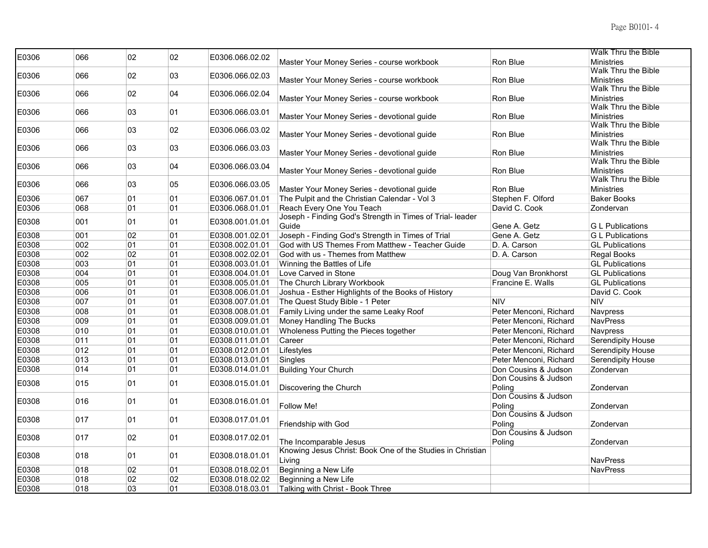| E0306 | 066 | 02 | 02 | E0306.066.02.02 |                                                            |                        | Walk Thru the Bible                      |
|-------|-----|----|----|-----------------|------------------------------------------------------------|------------------------|------------------------------------------|
|       |     |    |    |                 | Master Your Money Series - course workbook                 | Ron Blue               | <b>Ministries</b>                        |
| E0306 | 066 | 02 | 03 | E0306.066.02.03 |                                                            |                        | Walk Thru the Bible                      |
|       |     |    |    |                 | Master Your Money Series - course workbook                 | Ron Blue               | <b>Ministries</b>                        |
| E0306 | 066 | 02 | 04 | E0306.066.02.04 |                                                            |                        | Walk Thru the Bible                      |
|       |     |    |    |                 | Master Your Money Series - course workbook                 | Ron Blue               | <b>Ministries</b>                        |
| E0306 | 066 | 03 | 01 | E0306.066.03.01 |                                                            |                        | Walk Thru the Bible                      |
|       |     |    |    |                 | Master Your Money Series - devotional guide                | Ron Blue               | <b>Ministries</b><br>Walk Thru the Bible |
| E0306 | 066 | 03 | 02 | E0306.066.03.02 | Master Your Money Series - devotional guide                | Ron Blue               | <b>Ministries</b>                        |
|       |     |    |    |                 |                                                            |                        | Walk Thru the Bible                      |
| E0306 | 066 | 03 | 03 | E0306.066.03.03 | Master Your Money Series - devotional guide                | Ron Blue               | <b>Ministries</b>                        |
|       |     |    |    |                 |                                                            |                        | Walk Thru the Bible                      |
| E0306 | 066 | 03 | 04 | E0306.066.03.04 | Master Your Money Series - devotional guide                | Ron Blue               | <b>Ministries</b>                        |
|       |     |    |    |                 |                                                            |                        | Walk Thru the Bible                      |
| E0306 | 066 | 03 | 05 | E0306.066.03.05 | Master Your Money Series - devotional guide                | Ron Blue               | Ministries                               |
| E0306 | 067 | 01 | 01 | E0306.067.01.01 | The Pulpit and the Christian Calendar - Vol 3              | Stephen F. Olford      | <b>Baker Books</b>                       |
| E0306 | 068 | 01 | 01 | E0306.068.01.01 | Reach Every One You Teach                                  | David C. Cook          | Zondervan                                |
|       |     |    |    |                 | Joseph - Finding God's Strength in Times of Trial- leader  |                        |                                          |
| E0308 | 001 | 01 | 01 | E0308.001.01.01 | Guide                                                      | Gene A. Getz           | <b>G</b> L Publications                  |
| E0308 | 001 | 02 | 01 | E0308.001.02.01 | Joseph - Finding God's Strength in Times of Trial          | Gene A. Getz           | <b>G</b> L Publications                  |
| E0308 | 002 | 01 | 01 | E0308.002.01.01 | God with US Themes From Matthew - Teacher Guide            | D. A. Carson           | <b>GL</b> Publications                   |
| E0308 | 002 | 02 | 01 | E0308.002.02.01 | God with us - Themes from Matthew                          | D. A. Carson           | Regal Books                              |
| E0308 | 003 | 01 | 01 | E0308.003.01.01 | Winning the Battles of Life                                |                        | <b>GL</b> Publications                   |
| E0308 | 004 | 01 | 01 | E0308.004.01.01 | Love Carved in Stone                                       | Doug Van Bronkhorst    | <b>GL Publications</b>                   |
| E0308 | 005 | 01 | 01 | E0308.005.01.01 | The Church Library Workbook                                | Francine E. Walls      | <b>GL Publications</b>                   |
| E0308 | 006 | 01 | 01 | E0308.006.01.01 | Joshua - Esther Highlights of the Books of History         |                        | David C. Cook                            |
| E0308 | 007 | 01 | 01 | E0308.007.01.01 | The Quest Study Bible - 1 Peter                            | <b>NIV</b>             | <b>NIV</b>                               |
| E0308 | 008 | 01 | 01 | E0308.008.01.01 | Family Living under the same Leaky Roof                    | Peter Menconi, Richard | Navpress                                 |
| E0308 | 009 | 01 | 01 | E0308.009.01.01 | Money Handling The Bucks                                   | Peter Menconi, Richard | <b>NavPress</b>                          |
| E0308 | 010 | 01 | 01 | E0308.010.01.01 | Wholeness Putting the Pieces together                      | Peter Menconi, Richard | Navpress                                 |
| E0308 | 011 | 01 | 01 | E0308.011.01.01 | Career                                                     | Peter Menconi, Richard | <b>Serendipity House</b>                 |
| E0308 | 012 | 01 | 01 | E0308.012.01.01 | Lifestyles                                                 | Peter Menconi, Richard | Serendipity House                        |
| E0308 | 013 | 01 | 01 | E0308.013.01.01 | Singles                                                    | Peter Menconi, Richard | <b>Serendipity House</b>                 |
| E0308 | 014 | 01 | 01 | E0308.014.01.01 | <b>Building Your Church</b>                                | Don Cousins & Judson   | Zondervan                                |
|       |     |    |    |                 |                                                            | Don Cousins & Judson   |                                          |
| E0308 | 015 | 01 | 01 | E0308.015.01.01 | Discovering the Church                                     | Poling                 | Zondervan                                |
|       |     |    |    |                 |                                                            | Don Cousins & Judson   |                                          |
| E0308 | 016 | 01 | 01 | E0308.016.01.01 | Follow Me!                                                 | Poling                 | Zondervan                                |
|       |     |    |    |                 |                                                            | Don Cousins & Judson   |                                          |
| E0308 | 017 | 01 | 01 | E0308.017.01.01 | Friendship with God                                        | Poling                 | Zondervan                                |
|       |     |    | 01 |                 |                                                            | Don Cousins & Judson   |                                          |
| E0308 | 017 | 02 |    | E0308.017.02.01 | The Incomparable Jesus                                     | Poling                 | Zondervan                                |
| E0308 | 018 | 01 | 01 | E0308.018.01.01 | Knowing Jesus Christ: Book One of the Studies in Christian |                        |                                          |
|       |     |    |    |                 | Living                                                     |                        | <b>NavPress</b>                          |
| E0308 | 018 | 02 | 01 | E0308.018.02.01 | Beginning a New Life                                       |                        | <b>NavPress</b>                          |
| E0308 | 018 | 02 | 02 | E0308.018.02.02 | Beginning a New Life                                       |                        |                                          |
| E0308 | 018 | 03 | 01 | E0308.018.03.01 | Talking with Christ - Book Three                           |                        |                                          |